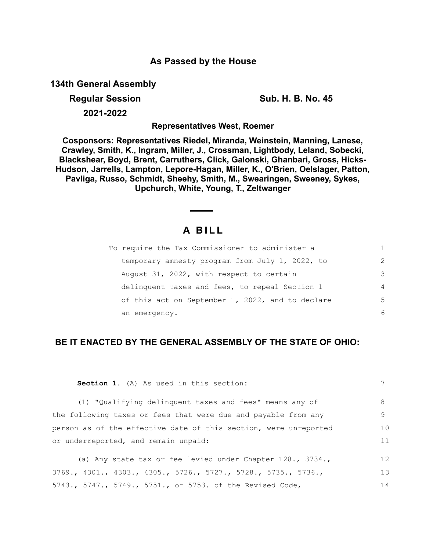## **As Passed by the House**

**134th General Assembly**

**Regular Session Sub. H. B. No. 45** 

**2021-2022**

**Representatives West, Roemer**

**Cosponsors: Representatives Riedel, Miranda, Weinstein, Manning, Lanese, Crawley, Smith, K., Ingram, Miller, J., Crossman, Lightbody, Leland, Sobecki, Blackshear, Boyd, Brent, Carruthers, Click, Galonski, Ghanbari, Gross, Hicks-Hudson, Jarrells, Lampton, Lepore-Hagan, Miller, K., O'Brien, Oelslager, Patton, Pavliga, Russo, Schmidt, Sheehy, Smith, M., Swearingen, Sweeney, Sykes, Upchurch, White, Young, T., Zeltwanger**

# **A B I L L**

| To require the Tax Commissioner to administer a  |                |
|--------------------------------------------------|----------------|
| temporary amnesty program from July 1, 2022, to  | $\mathcal{L}$  |
| August 31, 2022, with respect to certain         | 3              |
| delinquent taxes and fees, to repeal Section 1   | $\overline{4}$ |
| of this act on September 1, 2022, and to declare | 5              |
| an emergency.                                    | 6              |

### **BE IT ENACTED BY THE GENERAL ASSEMBLY OF THE STATE OF OHIO:**

| Section 1. (A) As used in this section:                                                   | 7  |
|-------------------------------------------------------------------------------------------|----|
| (1) "Qualifying delinguent taxes and fees" means any of                                   | 8  |
| the following taxes or fees that were due and payable from any                            | 9  |
| person as of the effective date of this section, were unreported                          | 10 |
| or underreported, and remain unpaid:                                                      | 11 |
| (a) Any state tax or fee levied under Chapter $128.$ , $3734.$ ,                          | 12 |
| $3769.$ , $4301.$ , $4303.$ , $4305.$ , $5726.$ , $5727.$ , $5728.$ , $5735.$ , $5736.$ , | 13 |
| 5743., 5747., 5749., 5751., or 5753. of the Revised Code,                                 | 14 |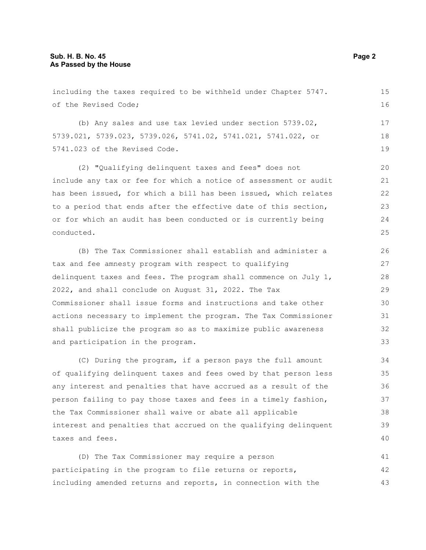including the taxes required to be withheld under Chapter 5747. of the Revised Code; (b) Any sales and use tax levied under section 5739.02, 5739.021, 5739.023, 5739.026, 5741.02, 5741.021, 5741.022, or 5741.023 of the Revised Code. (2) "Qualifying delinquent taxes and fees" does not include any tax or fee for which a notice of assessment or audit has been issued, for which a bill has been issued, which relates to a period that ends after the effective date of this section, or for which an audit has been conducted or is currently being conducted. (B) The Tax Commissioner shall establish and administer a tax and fee amnesty program with respect to qualifying delinquent taxes and fees. The program shall commence on July  $1$ , 2022, and shall conclude on August 31, 2022. The Tax Commissioner shall issue forms and instructions and take other actions necessary to implement the program. The Tax Commissioner shall publicize the program so as to maximize public awareness and participation in the program. (C) During the program, if a person pays the full amount of qualifying delinquent taxes and fees owed by that person less 15 16 17 18 19 20 21 22 23 24 25 26 27 28 29 30 31 32 33 34 35

any interest and penalties that have accrued as a result of the person failing to pay those taxes and fees in a timely fashion, the Tax Commissioner shall waive or abate all applicable interest and penalties that accrued on the qualifying delinquent taxes and fees. 36 37 38 39 40

(D) The Tax Commissioner may require a person participating in the program to file returns or reports, including amended returns and reports, in connection with the 41 42 43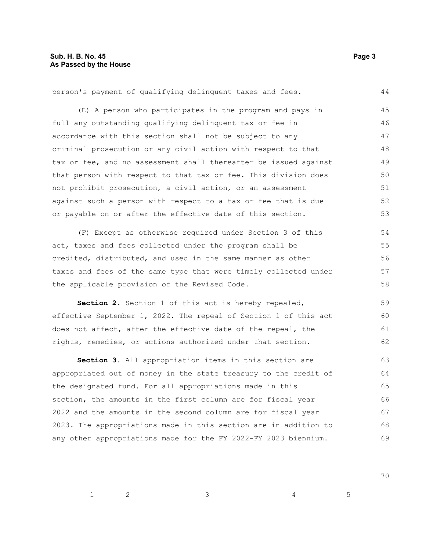person's payment of qualifying delinquent taxes and fees. (E) A person who participates in the program and pays in full any outstanding qualifying delinquent tax or fee in accordance with this section shall not be subject to any criminal prosecution or any civil action with respect to that tax or fee, and no assessment shall thereafter be issued against that person with respect to that tax or fee. This division does not prohibit prosecution, a civil action, or an assessment against such a person with respect to a tax or fee that is due or payable on or after the effective date of this section. (F) Except as otherwise required under Section 3 of this act, taxes and fees collected under the program shall be credited, distributed, and used in the same manner as other taxes and fees of the same type that were timely collected under the applicable provision of the Revised Code. **Section 2.** Section 1 of this act is hereby repealed, effective September 1, 2022. The repeal of Section 1 of this act does not affect, after the effective date of the repeal, the rights, remedies, or actions authorized under that section. **Section 3.** All appropriation items in this section are appropriated out of money in the state treasury to the credit of the designated fund. For all appropriations made in this section, the amounts in the first column are for fiscal year 44 45 46 47 48 49 50 51 52 53 54 55 56 57 58 59 60 61 62 63 64 65 66

#### 2022 and the amounts in the second column are for fiscal year 2023. The appropriations made in this section are in addition to any other appropriations made for the FY 2022-FY 2023 biennium. 67 68 69

70

 $1$  2 3 4 5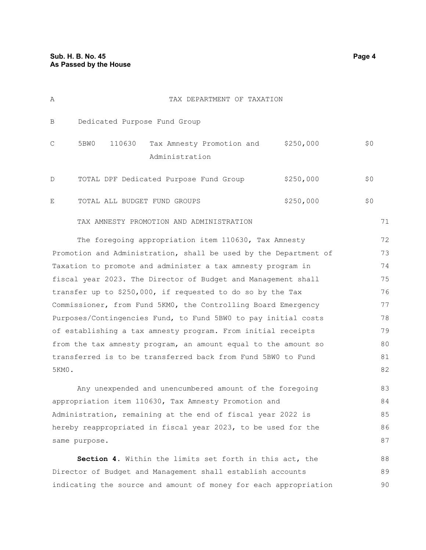| Α                                                                | TAX DEPARTMENT OF TAXATION                                              |           |     |    |  |
|------------------------------------------------------------------|-------------------------------------------------------------------------|-----------|-----|----|--|
| B                                                                | Dedicated Purpose Fund Group                                            |           |     |    |  |
| С                                                                | Tax Amnesty Promotion and \$250,000<br>110630<br>5BW0<br>Administration |           | \$0 |    |  |
| D                                                                | TOTAL DPF Dedicated Purpose Fund Group                                  | \$250,000 | \$0 |    |  |
| E                                                                | TOTAL ALL BUDGET FUND GROUPS                                            | \$250,000 | \$0 |    |  |
|                                                                  | TAX AMNESTY PROMOTION AND ADMINISTRATION                                |           | 71  |    |  |
|                                                                  | The foregoing appropriation item 110630, Tax Amnesty                    |           | 72  |    |  |
| Promotion and Administration, shall be used by the Department of |                                                                         |           |     |    |  |
| Taxation to promote and administer a tax amnesty program in      |                                                                         |           |     |    |  |
| fiscal year 2023. The Director of Budget and Management shall    |                                                                         |           |     |    |  |
| transfer up to \$250,000, if requested to do so by the Tax       |                                                                         |           |     | 76 |  |
| Commissioner, from Fund 5KM0, the Controlling Board Emergency    |                                                                         |           |     |    |  |
| Purposes/Contingencies Fund, to Fund 5BW0 to pay initial costs   |                                                                         |           |     |    |  |
| of establishing a tax amnesty program. From initial receipts     |                                                                         |           |     | 79 |  |
| from the tax amnesty program, an amount equal to the amount so   |                                                                         |           |     | 80 |  |
| transferred is to be transferred back from Fund 5BW0 to Fund     |                                                                         |           |     | 81 |  |
| 5KM0.                                                            |                                                                         |           | 82  |    |  |
|                                                                  | Any unexpended and unencumbered amount of the foregoing                 |           | 83  |    |  |
|                                                                  |                                                                         |           |     |    |  |

appropriation item 110630, Tax Amnesty Promotion and Administration, remaining at the end of fiscal year 2022 is hereby reappropriated in fiscal year 2023, to be used for the same purpose. 84 85 86 87

**Section 4.** Within the limits set forth in this act, the Director of Budget and Management shall establish accounts indicating the source and amount of money for each appropriation 88 89 90